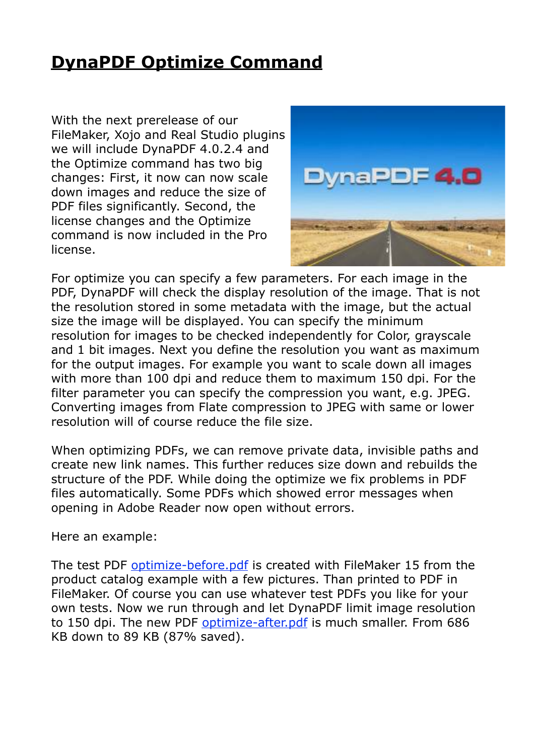## **[DynaPDF Optimize Command](http://www.mbs-plugins.com/archive/2016-07-17/DynaPDF_Optimize_Command/monkeybreadsoftware_blog_filemaker)**

With the next prerelease of our FileMaker, Xojo and Real Studio plugins we will include DynaPDF 4.0.2.4 and the Optimize command has two big changes: First, it now can now scale down images and reduce the size of PDF files significantly. Second, the license changes and the Optimize command is now included in the Pro license.



For optimize you can specify a few parameters. For each image in the PDF, DynaPDF will check the display resolution of the image. That is not the resolution stored in some metadata with the image, but the actual size the image will be displayed. You can specify the minimum resolution for images to be checked independently for Color, grayscale and 1 bit images. Next you define the resolution you want as maximum for the output images. For example you want to scale down all images with more than 100 dpi and reduce them to maximum 150 dpi. For the filter parameter you can specify the compression you want, e.g. JPEG. Converting images from Flate compression to JPEG with same or lower resolution will of course reduce the file size.

When optimizing PDFs, we can remove private data, invisible paths and create new link names. This further reduces size down and rebuilds the structure of the PDF. While doing the optimize we fix problems in PDF files automatically. Some PDFs which showed error messages when opening in Adobe Reader now open without errors.

Here an example:

The test PDF [optimize-before.pdf](http://www.mbs-plugins.com/images/optimize-before.pdf) is created with FileMaker 15 from the product catalog example with a few pictures. Than printed to PDF in FileMaker. Of course you can use whatever test PDFs you like for your own tests. Now we run through and let DynaPDF limit image resolution to 150 dpi. The new PDF [optimize-after.pdf](http://www.mbs-plugins.com/images/optimize-after.pdf) is much smaller. From 686 KB down to 89 KB (87% saved).